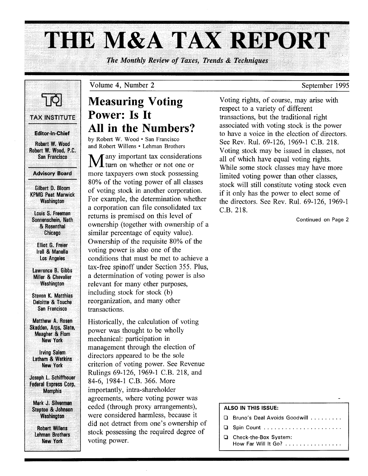# THE M&A TAX REPORT

*The Monthly Review of Taxes, Trends & Techniques* 

TAX INSTITUTE **Editor-in-Chief** Robert W. Wood Robert W. Wood, P.C. San Francisco

## Advisory Board

Gilbert D. Bloom KPMG Peat· Marwick Washington

Louis S. Freeman Sonnenschein, Nath & Rosenthal **Chicago** 

Elliot G. Freier Irell & Manella Los· Angeles

Lawrence B. Gibbs Miller & Chevalier **Washington** 

Steven K. Matthias Deloitte & Touche San Francisco

Matthew A. Rosen Skadden, Arps, Slate, Meagher & Flom New York

Irving Salem Latham & Watkins New York

Joseph L. Schiffhouer Federal Express Corp. **Memphis** 

Mark J. Silverman **Steptoe & Johnson** Washington

Robert Willens Lehman Brothers New York

# **Measuring Voting Power: Is It All in the Numbers?**

Volume 4, Number 2

by Robert W. Wood· San Francisco and Robert Willens · Lehman Brothers

Many important tax considerations<br>
M turn on whether or not one or more taxpayers own stock possessing 80% of the voting power of all classes of voting stock in another corporation. For example, the determination whether a corporation can file consolidated tax returns is premised on this level of ownership (together with ownership of a similar percentage of equity value). Ownership of the requisite 80% of the voting power is also one of the conditions that must be met to achieve a tax-free spinoff under Section 355. Plus, a determination of voting power is also relevant for many other purposes, including stock for stock (b) reorganization, and many other transactions.

Historically, the calculation of voting power was thought to be wholly mechanical: participation in management through the election of directors appeared to be the sole criterion of voting power. See Revenue Rulings 69-126, 1969-1 C.B. 218, and 84-6, 1984-1 c.B. 366. More importantly, intra-shareholder agreements, where voting power was ceded (through proxy arrangements), were considered harmless, because it did not detract from one's ownership of stock possessing the required degree of voting power.

Voting rights, of course, may arise with respect to a variety of different transactions, but the traditional right associated with voting stock is the power to have a voice in the election of directors. See Rev. Rul. 69-126, 1969-1 C.B. 218. Voting stock may be issued in classes, not all of which have equal voting rights. While some stock classes may have more limited voting power than other classes, stock will still constitute voting stock even if it only has the power to elect some of the directors. See Rev. Rul. 69-126, 1969-1 c.B. 218.

Continued on Page 2

## ALSO IN THIS ISSUE:

- **Q** Bruno's Deal Avoids Goodwill ........ **Q** Spin Count ......................
- o Check-the-Box System: How Far Will It Go? ...............

# September 1995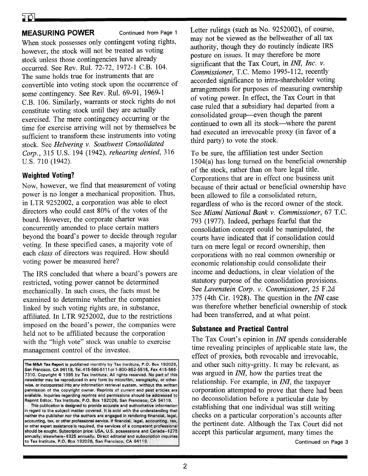# **MEASURING POWER** Continued from Page 1

When stock possesses only contingent voting rights, however, the stock will not be treated as voting stock unless those contingencies have already occurred. See Rev. Rul. 72-72, 1972-1 C.B. 104. The same holds true for instruments that are convertible into voting stock upon the occurrence of some contingency. See Rev. Rul. 69-91, 1969-1 C.B. 106. Similarly, warrants or stock rights do not constitute voting stock until they are actually exercised. The mere contingency occurring or the time for exercise arriving will not by themselves be sufficient to transform these instruments into voting stock. See *Helvering* v. *Southwest Consolidated Corp.,* 315 U.S. 194 (1942), *rehearing denied, 316*  U.S. 710 (1942).

# **Weighted Voting?**

Now, however, we find that measurement of voting power is no longer a mechanical proposition. Thus, in LTR 9252002, a corporation was able to elect directors who could cast 80% of the votes of the board. However, the corporate charter was concurrently amended to place certain matters beyond the board's power to decide through regular voting. In these specified cases, a majority vote of each *class* of directors was required. How should voting power be measured here?

The IRS concluded that where a board's powers are restricted, voting power cannot be determined mechanically. In such cases, the facts must be examined to determine whether the companies linked by such voting rights are, in substance, affiliated. In LTR 9252002, due to the restrictions imposed on the board's power, the companies were held not to be affiliated because the corporation with the "high vote" stock was unable to exercise management control of the investee.

Letter rulings (such as No. 9252002), of course, may not be viewed as the bellweather of all tax authority, though they do routinely indicate IRS posture on issues. It may therefore be more significant that the Tax Court, in *INI, Inc.* v. Commissioner, T.C. Memo 1995-112, recently accorded significance to intra-shareholder voting arrangements for purposes of measuring ownership of voting power. In effect, the Tax Court in that case ruled that a subsidiary had departed from a consolidated group-even though the parent continued to own all its stock-where the parent had executed an irrevocable proxy (in favor of a third party) to vote the stock.

To be sure, the affiliation test under Section 1504(a) has long turned on the beneficial ownership of the stock, rather than on bare legal title. Corporations that are in effect one business unit because of their actual or beneficial ownership have been allowed to file a consolidated return, regardless of who is the record owner of the stock. See *Miami National Bank v. Commissioner*, 67 T.C. 793 (1977). Indeed, perhaps fearful that the consolidation concept could be manipulated, the courts have indicated that if consolidation could turn on mere legal or record ownership, then corporations with no real common ownership or economic relationship could consolidate their income and deductions, in clear violation of the statutory purpose of the consolidation provisions. See *Lavenstein Corp.* v. *Commissioner,* 25 F.2d 375 (4th eir. 1928). The question in the *INI* case was therefore whether beneficial ownership of stock had been transferred, and at what point.

# **Substance and Practical Control**

The Tax Court's opinion in *INI* spends considerable time revealing principles of applicable state law, the effect of proxies, both revocable and irrevocable, and other such nitty-gritty. It may be relevant, as was argued in *INI,* how the parties treat the relationship. For example, in *INI,* the taxpayer corporation attempted to prove that there had been no deconsolidation before a particular date by establishing that one individual was still writing checks on a particular corporation's accounts after the pertinent date. Although the Tax Court did not accept this particular argument, many times the

The M&A Tax Report is published monthly by Tax Institute, P.O. Box 192026, San Francisco, CA 94119, Tel. 415-566-5111 or 1-800-852-5515, Fax 415-566-7310. Copyright @ 1995 by Tax Institute. All rights reserved. No part of this newsletter may be reproduced in any form by microfilm, xerography, or otherwise, or incorporated into any information retrieval system, without the written permission of the copyright owner. Reprints of current and past articles are available. Inquiries regarding reprints and permissions should be addressed to Reprint Editor; Tax Institute, P.O. Box 192026, San Francisco; CA 94119. This publication is designed to provide accurate and authoritative information

in regard to the subject matter covered. It is sold with the understanding that neither the publisher nor the authors are engaged in rendering financial, legal, accounting, tax, or other professional service. If financial, legal, accounting, tax or other expert assistance is required, the services of a competent professional should be sought. Subscription price: USA, U.S. possessions and Canada-\$275 annually; elsewhere-\$326 annually. Direct aditorial and subscription inquiries to Tax Institute, P.O. Box 192026, San Francisco, CA 94119.